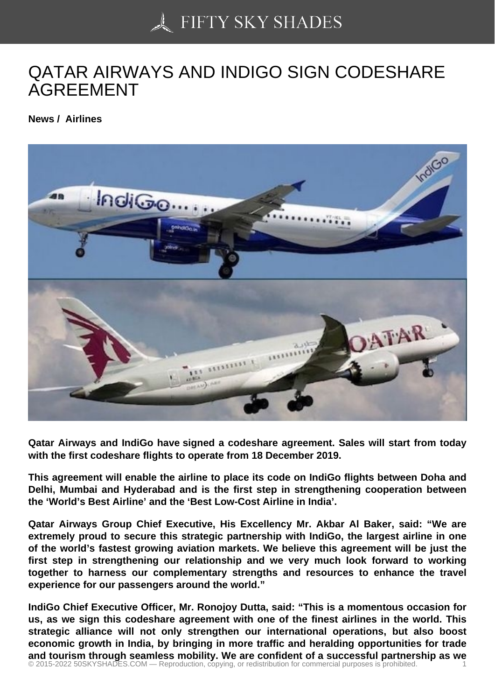## [QATAR AIRWAYS AN](https://50skyshades.com)D INDIGO SIGN CODESHARE AGREEMENT

News / Airlines

Qatar Airways and IndiGo have signed a codeshare agreement. Sales will start from today with the first codeshare flights to operate from 18 December 2019.

This agreement will enable the airline to place its code on IndiGo flights between Doha and Delhi, Mumbai and Hyderabad and is the first step in strengthening cooperation between the 'World's Best Airline' and the 'Best Low-Cost Airline in India'.

Qatar Airways Group Chief Executive, His Excellency Mr. Akbar Al Baker, said: "We are extremely proud to secure this strategic partnership with IndiGo, the largest airline in one of the world's fastest growing aviation markets. We believe this agreement will be just the first step in strengthening our relationship and we very much look forward to working together to harness our complementary strengths and resources to enhance the travel experience for our passengers around the world."

IndiGo Chief Executive Officer, Mr. Ronojoy Dutta, said: "This is a momentous occasion for us, as we sign this codeshare agreement with one of the finest airlines in the world. This strategic alliance will not only strengthen our international operations, but also boost economic growth in India, by bringing in more traffic and heralding opportunities for trade and tourism through seamless mobility. We are confident of a successful partnership as we © 2015-2022 50SKYSHADES.COM — Reproduction, copying, or redistribution for commercial purposes is prohibited. 1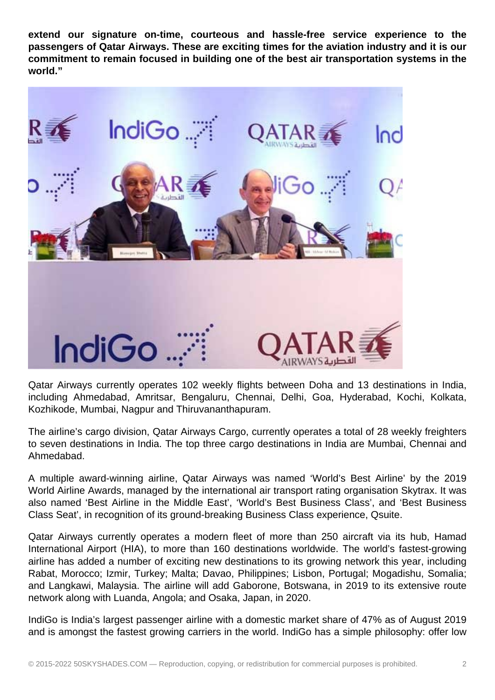**extend our signature on-time, courteous and hassle-free service experience to the passengers of Qatar Airways. These are exciting times for the aviation industry and it is our commitment to remain focused in building one of the best air transportation systems in the world."**



Qatar Airways currently operates 102 weekly flights between Doha and 13 destinations in India, including Ahmedabad, Amritsar, Bengaluru, Chennai, Delhi, Goa, Hyderabad, Kochi, Kolkata, Kozhikode, Mumbai, Nagpur and Thiruvananthapuram.

The airline's cargo division, Qatar Airways Cargo, currently operates a total of 28 weekly freighters to seven destinations in India. The top three cargo destinations in India are Mumbai, Chennai and Ahmedabad.

A multiple award-winning airline, Qatar Airways was named 'World's Best Airline' by the 2019 World Airline Awards, managed by the international air transport rating organisation Skytrax. It was also named 'Best Airline in the Middle East', 'World's Best Business Class', and 'Best Business Class Seat', in recognition of its ground-breaking Business Class experience, Qsuite.

Qatar Airways currently operates a modern fleet of more than 250 aircraft via its hub, Hamad International Airport (HIA), to more than 160 destinations worldwide. The world's fastest-growing airline has added a number of exciting new destinations to its growing network this year, including Rabat, Morocco; Izmir, Turkey; Malta; Davao, Philippines; Lisbon, Portugal; Mogadishu, Somalia; and Langkawi, Malaysia. The airline will add Gaborone, Botswana, in 2019 to its extensive route network along with Luanda, Angola; and Osaka, Japan, in 2020.

IndiGo is India's largest passenger airline with a domestic market share of 47% as of August 2019 and is amongst the fastest growing carriers in the world. IndiGo has a simple philosophy: offer low